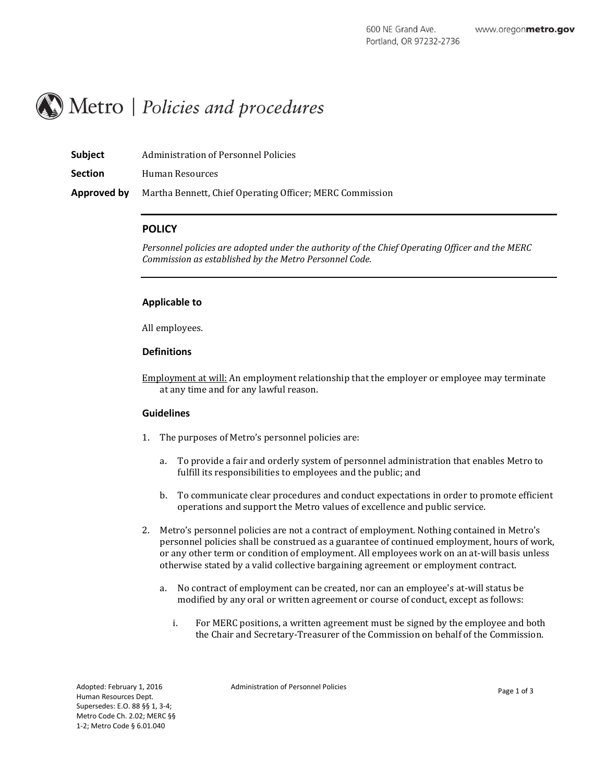

| <b>Subject</b> | Administration of Personnel Policies                     |
|----------------|----------------------------------------------------------|
| <b>Section</b> | Human Resources                                          |
| Approved by    | Martha Bennett, Chief Operating Officer; MERC Commission |

# **POLICY**

*Personnel policies are adopted under the authority of the Chief Operating Officer and the MERC Commission as established by the Metro Personnel Code.*

#### **Applicable to**

All employees.

#### **Definitions**

Employment at will: An employment relationship that the employer or employee may terminate at any time and for any lawful reason.

#### **Guidelines**

- 1. The purposes of Metro's personnel policies are:
	- a. To provide a fair and orderly system of personnel administration that enables Metro to fulfill its responsibilities to employees and the public; and
	- b. To communicate clear procedures and conduct expectations in order to promote efficient operations and support the Metro values of excellence and public service.
- 2. Metro's personnel policies are not a contract of employment. Nothing contained in Metro's personnel policies shall be construed as a guarantee of continued employment, hours of work, or any other term or condition of employment. All employees work on an at-will basis unless otherwise stated by a valid collective bargaining agreement or employment contract.
	- a. No contract of employment can be created, nor can an employee's at-will status be modified by any oral or written agreement or course of conduct, except as follows:
		- i. For MERC positions, a written agreement must be signed by the employee and both the Chair and Secretary-Treasurer of the Commission on behalf of the Commission.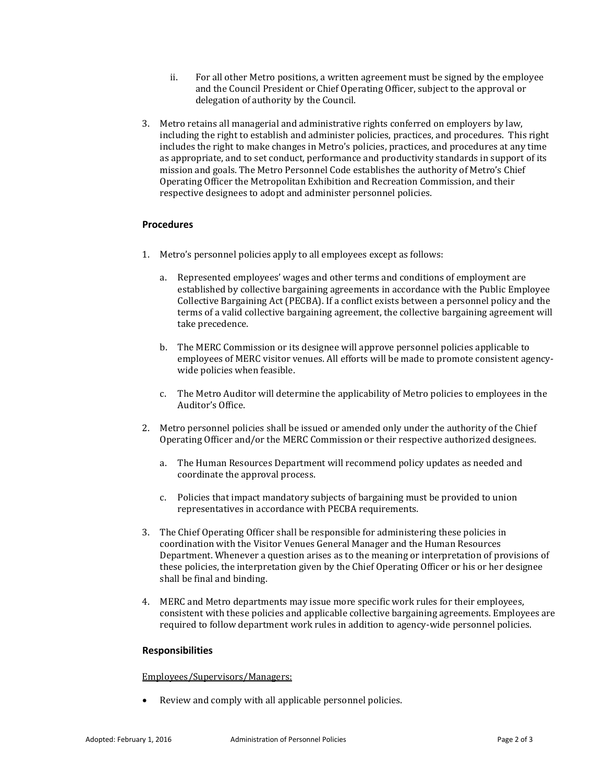- ii. For all other Metro positions, a written agreement must be signed by the employee and the Council President or Chief Operating Officer, subject to the approval or delegation of authority by the Council.
- 3. Metro retains all managerial and administrative rights conferred on employers by law, including the right to establish and administer policies, practices, and procedures. This right includes the right to make changes in Metro's policies, practices, and procedures at any time as appropriate, and to set conduct, performance and productivity standards in support of its mission and goals. The Metro Personnel Code establishes the authority of Metro's Chief Operating Officer the Metropolitan Exhibition and Recreation Commission, and their respective designees to adopt and administer personnel policies.

## **Procedures**

- 1. Metro's personnel policies apply to all employees except as follows:
	- a. Represented employees' wages and other terms and conditions of employment are established by collective bargaining agreements in accordance with the Public Employee Collective Bargaining Act (PECBA). If a conflict exists between a personnel policy and the terms of a valid collective bargaining agreement, the collective bargaining agreement will take precedence.
	- b. The MERC Commission or its designee will approve personnel policies applicable to employees of MERC visitor venues. All efforts will be made to promote consistent agencywide policies when feasible.
	- c. The Metro Auditor will determine the applicability of Metro policies to employees in the Auditor's Office.
- 2. Metro personnel policies shall be issued or amended only under the authority of the Chief Operating Officer and/or the MERC Commission or their respective authorized designees.
	- a. The Human Resources Department will recommend policy updates as needed and coordinate the approval process.
	- c. Policies that impact mandatory subjects of bargaining must be provided to union representatives in accordance with PECBA requirements.
- 3. The Chief Operating Officer shall be responsible for administering these policies in coordination with the Visitor Venues General Manager and the Human Resources Department. Whenever a question arises as to the meaning or interpretation of provisions of these policies, the interpretation given by the Chief Operating Officer or his or her designee shall be final and binding.
- 4. MERC and Metro departments may issue more specific work rules for their employees, consistent with these policies and applicable collective bargaining agreements. Employees are required to follow department work rules in addition to agency-wide personnel policies.

## **Responsibilities**

## Employees/Supervisors/Managers:

Review and comply with all applicable personnel policies.